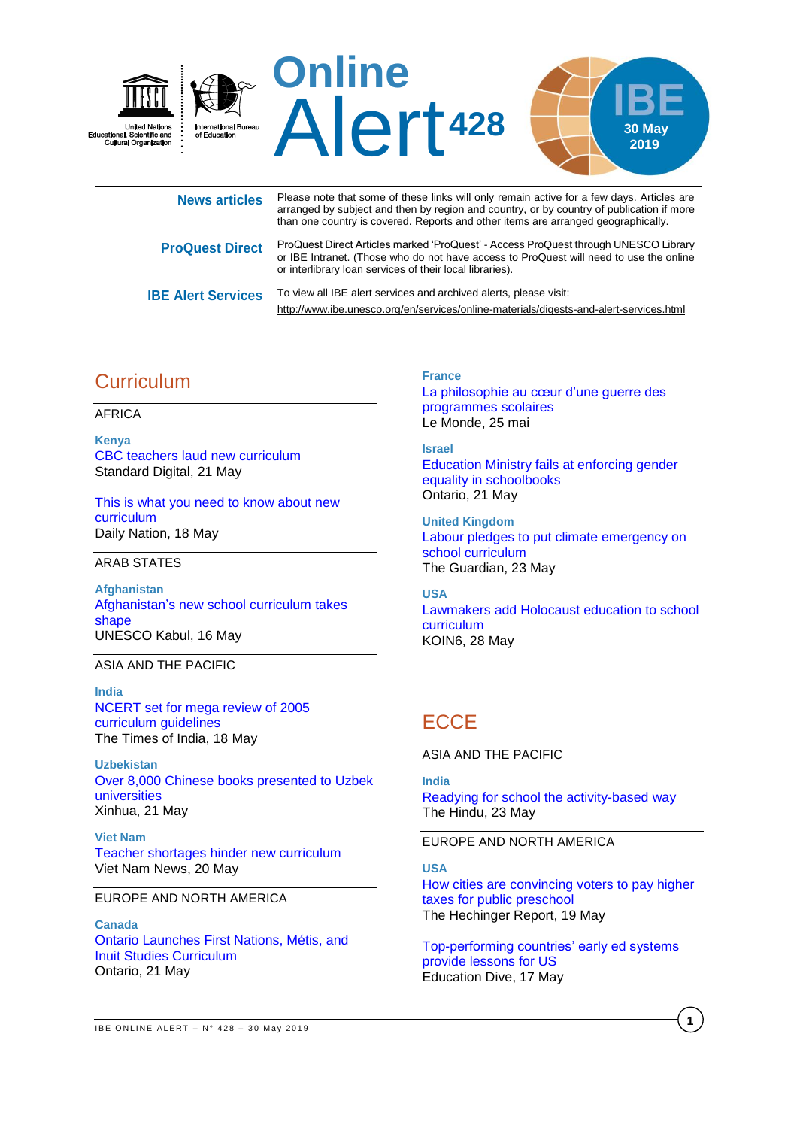

| NGWO GI LIVIGO            | arranged by subject and then by region and country, or by country of publication if more<br>than one country is covered. Reports and other items are arranged geographically.                                                             |
|---------------------------|-------------------------------------------------------------------------------------------------------------------------------------------------------------------------------------------------------------------------------------------|
| <b>ProQuest Direct</b>    | ProQuest Direct Articles marked 'ProQuest' - Access ProQuest through UNESCO Library<br>or IBE Intranet. (Those who do not have access to ProQuest will need to use the online<br>or interlibrary loan services of their local libraries). |
| <b>IBE Alert Services</b> | To view all IBE alert services and archived alerts, please visit:<br>http://www.ibe.unesco.org/en/services/online-materials/digests-and-alert-services.html                                                                               |

# **Curriculum**

AFRICA

**Kenya** [CBC teachers laud new curriculum](https://www.standardmedia.co.ke/article/2001326438/cbc-teachers-laud-new-curriculum) Standard Digital, 21 May

[This is what you need to know about new](https://mobile.nation.co.ke/lifestyle/This-is-what-you-need-to-know-about-new-curriculum/1950774-5120334-7i6ergz/index.html)  [curriculum](https://mobile.nation.co.ke/lifestyle/This-is-what-you-need-to-know-about-new-curriculum/1950774-5120334-7i6ergz/index.html) Daily Nation, 18 May

ARAB STATES

**Afghanistan** [Afghanistan's new school curriculum takes](http://www.unesco.org/new/en/kabul/about-the-office/single-view/news/afghanistans_new_school_curriculum_takes_shape/)  [shape](http://www.unesco.org/new/en/kabul/about-the-office/single-view/news/afghanistans_new_school_curriculum_takes_shape/) UNESCO Kabul, 16 May

### ASIA AND THE PACIFIC

**India** [NCERT set for mega review of 2005](https://timesofindia.indiatimes.com/india/after-14-years-ncert-reviews-guidelines-on-curriculum/articleshow/69381082.cms)  [curriculum guidelines](https://timesofindia.indiatimes.com/india/after-14-years-ncert-reviews-guidelines-on-curriculum/articleshow/69381082.cms) The Times of India, 18 May

**Uzbekistan** [Over 8,000 Chinese books presented to Uzbek](http://www.xinhuanet.com/english/2019-05/21/c_138076841.htm)  [universities](http://www.xinhuanet.com/english/2019-05/21/c_138076841.htm) Xinhua, 21 May

**Viet Nam** [Teacher shortages hinder new curriculum](https://vietnamnews.vn/society/520141/teacher-shortages-hinder-new-curriculum.html#1gioB2KhUHIQhj7k.97) Viet Nam News, 20 May

### EUROPE AND NORTH AMERICA

**Canada** [Ontario Launches First Nations, Métis, and](https://news.ontario.ca/edu/en/2019/05/ontario-launches-first-nations-metis-and-inuit-studies-curriculum.html)  [Inuit Studies Curriculum](https://news.ontario.ca/edu/en/2019/05/ontario-launches-first-nations-metis-and-inuit-studies-curriculum.html) Ontario, 21 May

### **France**

[La philosophie au cœur d'une guerre des](https://www.lemonde.fr/societe/article/2019/05/25/la-philosophie-au-c-ur-d-une-guerre-des-programmes_5466985_3224.html)  [programmes scolaires](https://www.lemonde.fr/societe/article/2019/05/25/la-philosophie-au-c-ur-d-une-guerre-des-programmes_5466985_3224.html) Le Monde, 25 mai

#### **Israel**

[Education Ministry fails at enforcing gender](https://www.ynetnews.com/articles/0,7340,L-5510290,00.html)  [equality in schoolbooks](https://www.ynetnews.com/articles/0,7340,L-5510290,00.html) Ontario, 21 May

**United Kingdom** [Labour pledges to put climate emergency on](https://www.theguardian.com/environment/2019/may/23/labour-pledges-to-put-climate-emergency-on-school-curriculum)  [school curriculum](https://www.theguardian.com/environment/2019/may/23/labour-pledges-to-put-climate-emergency-on-school-curriculum) The Guardian, 23 May

### **USA**

[Lawmakers add Holocaust education to school](https://www.koin.com/news/education/lawmakers-add-holocaust-education-to-school-curriculum/2033932863)  [curriculum](https://www.koin.com/news/education/lawmakers-add-holocaust-education-to-school-curriculum/2033932863) KOIN6, 28 May

# **ECCE**

ASIA AND THE PACIFIC

#### **India**

[Readying for school the activity-based way](https://www.thehindu.com/news/cities/bangalore/readying-for-school-the-activity-based-way/article27211788.ece) The Hindu, 23 May

### EUROPE AND NORTH AMERICA

### **USA**

[How cities are convincing voters to pay higher](https://hechingerreport.org/how-cities-are-convincing-voters-to-pay-higher-taxes-for-public-preschool/)  [taxes for public preschool](https://hechingerreport.org/how-cities-are-convincing-voters-to-pay-higher-taxes-for-public-preschool/) The Hechinger Report, 19 May

[Top-performing countries' early ed systems](https://www.educationdive.com/news/top-performing-countries-early-ed-systems-provide-lessons-for-us/554991/)  [provide lessons for US](https://www.educationdive.com/news/top-performing-countries-early-ed-systems-provide-lessons-for-us/554991/) Education Dive, 17 May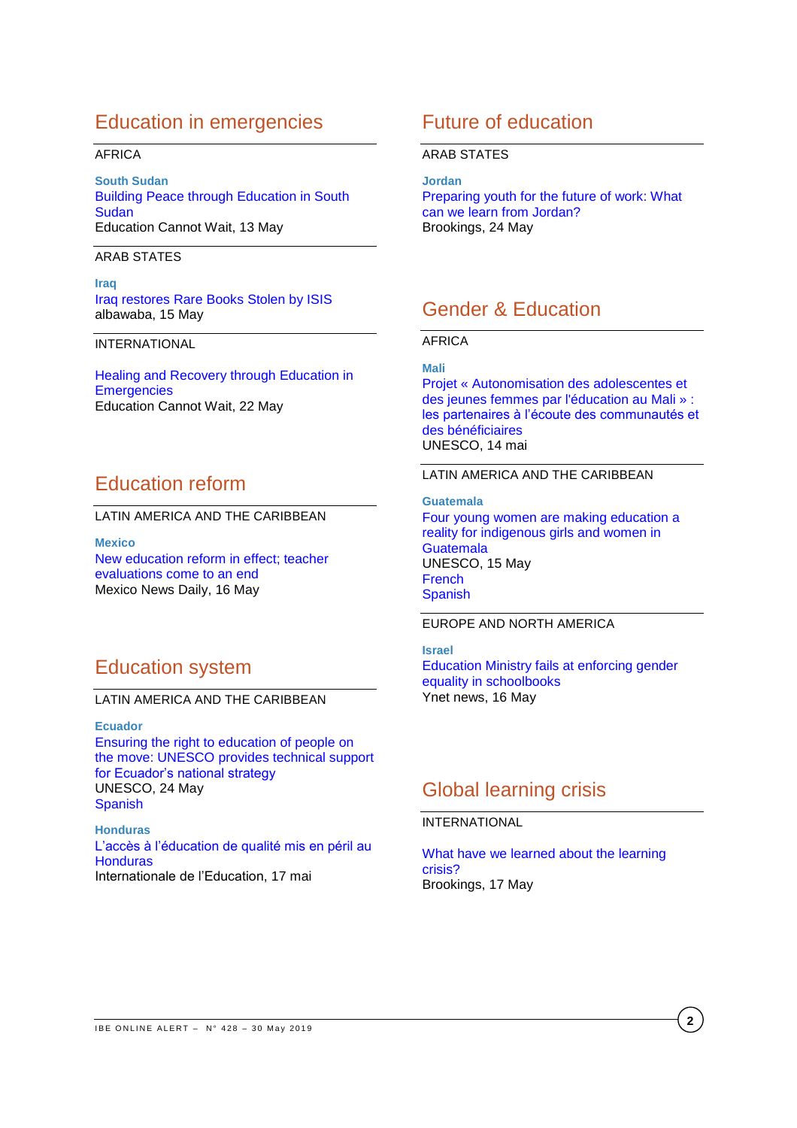# Education in emergencies

### AFRICA

**South Sudan** [Building Peace through Education in South](http://www.educationcannotwait.org/building-peace-through-education-in-south-sudan/)  **[Sudan](http://www.educationcannotwait.org/building-peace-through-education-in-south-sudan/)** Education Cannot Wait, 13 May

ARAB STATES

## **Iraq**

[Iraq restores Rare Books Stolen by ISIS](https://www.albawaba.com/editors-choice/iraq-restores-rare-books-stolen-isis-1286166) albawaba, 15 May

INTERNATIONAL

[Healing and Recovery through Education in](http://www.educationcannotwait.org/mental-health-2/)  **[Emergencies](http://www.educationcannotwait.org/mental-health-2/)** Education Cannot Wait, 22 May

# Education reform

LATIN AMERICA AND THE CARIBBEAN

**Mexico** [New education reform in effect; teacher](https://mexiconewsdaily.com/news/new-education-reform-in-effect/)  [evaluations come to an end](https://mexiconewsdaily.com/news/new-education-reform-in-effect/) Mexico News Daily, 16 May

# Education system

### LATIN AMERICA AND THE CARIBBEAN

**Ecuador**

[Ensuring the right to education of people on](http://www.unesco.org/new/en/santiago/education/inclusive-education/news/ensuring-the-right-to-education-of-people-on-the-move-unesco-provides-technical-support-for-ecuadors-national-strategy/)  [the move: UNESCO provides technical support](http://www.unesco.org/new/en/santiago/education/inclusive-education/news/ensuring-the-right-to-education-of-people-on-the-move-unesco-provides-technical-support-for-ecuadors-national-strategy/)  [for Ecuador's national strategy](http://www.unesco.org/new/en/santiago/education/inclusive-education/news/ensuring-the-right-to-education-of-people-on-the-move-unesco-provides-technical-support-for-ecuadors-national-strategy/)  UNESCO, 24 May [Spanish](http://www.unesco.org/new/es/santiago/education/inclusive-education/news/ensuring-the-right-to-education-of-people-on-the-move-unesco-provides-technical-support-for-ecuadors-national-strategy/)

**Honduras** [L'accès à l'éducation de qualité mis en péril au](https://ei-ie.org/fr/detail/16262/l%E2%80%99acc%C3%A8s-%C3%A0-l%E2%80%99%C3%A9ducation-de-qualit%C3%A9-mis-en-p%C3%A9ril-au-honduras)  **[Honduras](https://ei-ie.org/fr/detail/16262/l%E2%80%99acc%C3%A8s-%C3%A0-l%E2%80%99%C3%A9ducation-de-qualit%C3%A9-mis-en-p%C3%A9ril-au-honduras)** Internationale de l'Education, 17 mai

# Future of education

### ARAB STATES

**Jordan** [Preparing youth for the future of work: What](https://www.brookings.edu/blog/education-plus-development/2019/05/24/preparing-youth-for-the-future-of-work-what-can-we-learn-from-jordan/)  [can we learn from Jordan?](https://www.brookings.edu/blog/education-plus-development/2019/05/24/preparing-youth-for-the-future-of-work-what-can-we-learn-from-jordan/) Brookings, 24 May

# Gender & Education

### AFRICA

**Mali**

[Projet « Autonomisation des adolescentes et](https://fr.unesco.org/news/projet-autonomisation-adolescentes-jeunes-femmes-leducation-au-mali-partenaires-lecoute-0)  [des jeunes femmes par l'éducation au Mali » :](https://fr.unesco.org/news/projet-autonomisation-adolescentes-jeunes-femmes-leducation-au-mali-partenaires-lecoute-0)  [les partenaires à l'écoute des communautés et](https://fr.unesco.org/news/projet-autonomisation-adolescentes-jeunes-femmes-leducation-au-mali-partenaires-lecoute-0)  [des bénéficiaires](https://fr.unesco.org/news/projet-autonomisation-adolescentes-jeunes-femmes-leducation-au-mali-partenaires-lecoute-0) UNESCO, 14 mai

### LATIN AMERICA AND THE CARIBBEAN

**Guatemala** [Four young women are making education a](https://en.unesco.org/news/four-young-women-are-making-education-reality-indigenous-girls-and-women-guatemala)  [reality for indigenous girls and women in](https://en.unesco.org/news/four-young-women-are-making-education-reality-indigenous-girls-and-women-guatemala)  **[Guatemala](https://en.unesco.org/news/four-young-women-are-making-education-reality-indigenous-girls-and-women-guatemala)** UNESCO, 15 May [French](https://fr.unesco.org/news/quatre-jeunes-femmes-font-leducation-realite-filles-femmes-autochtones-du-guatemala) **[Spanish](https://es.unesco.org/news/cuatro-mujeres-jovenes-hacen-educacion-realidad-ninas-y-mujeres-indigenas-guatemala)** 

## EUROPE AND NORTH AMERICA

**Israel** [Education Ministry fails at enforcing gender](https://www.ynetnews.com/articles/0,7340,L-5510290,00.html)  [equality in schoolbooks](https://www.ynetnews.com/articles/0,7340,L-5510290,00.html) Ynet news, 16 May

# Global learning crisis

## INTERNATIONAL

[What have we learned about the learning](https://www.brookings.edu/blog/education-plus-development/2019/05/17/what-have-we-learned-about-the-learning-crisis/)  [crisis?](https://www.brookings.edu/blog/education-plus-development/2019/05/17/what-have-we-learned-about-the-learning-crisis/) Brookings, 17 May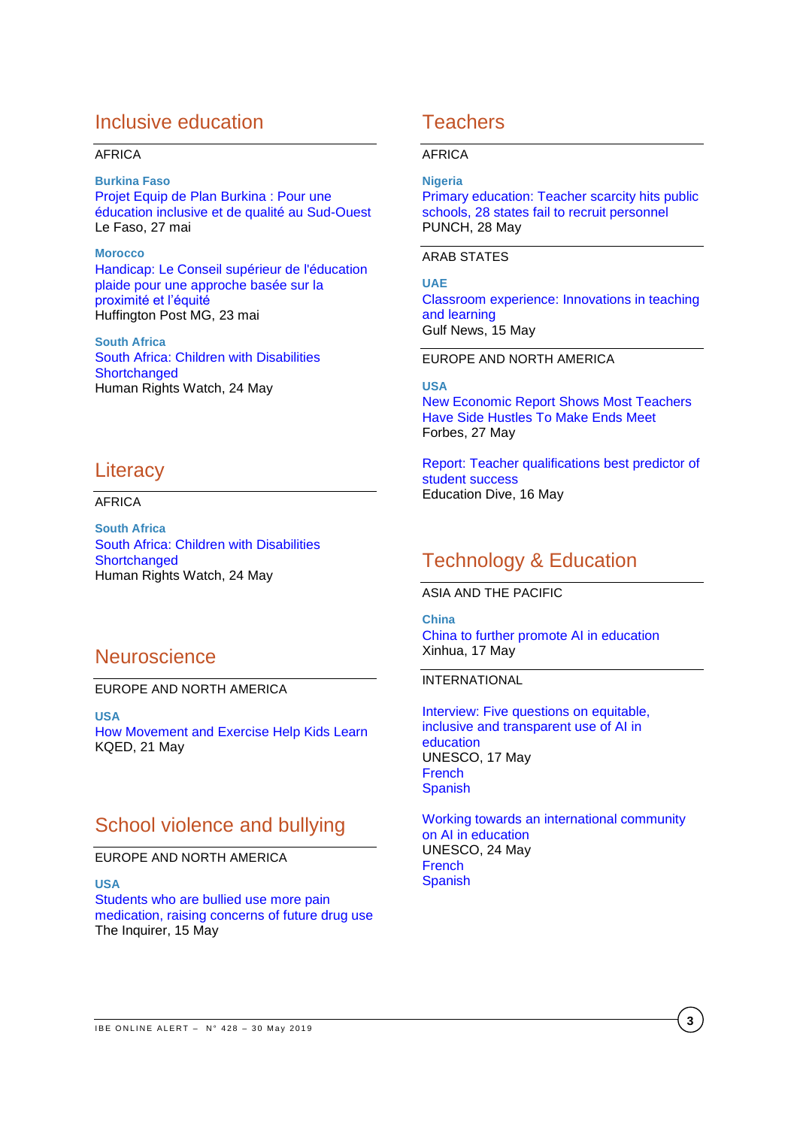# Inclusive education

### AFRICA

**Burkina Faso** [Projet Equip de Plan Burkina](http://lefaso.net/spip.php?article89915) : Pour une [éducation inclusive et de qualité au Sud-Ouest](http://lefaso.net/spip.php?article89915) Le Faso, 27 mai

**Morocco** [Handicap: Le Conseil supérieur de l'éducation](https://www.huffpostmaghreb.com/entry/handicap-le-conseil-superieur-de-leducation-plaide-pour-une-approche-basee-sur-la-proximite-et-l-equite_mg_5ce6d2c5e4b0a2f9f28b4de8)  [plaide pour une approche basée sur la](https://www.huffpostmaghreb.com/entry/handicap-le-conseil-superieur-de-leducation-plaide-pour-une-approche-basee-sur-la-proximite-et-l-equite_mg_5ce6d2c5e4b0a2f9f28b4de8)  [proximité et l'équité](https://www.huffpostmaghreb.com/entry/handicap-le-conseil-superieur-de-leducation-plaide-pour-une-approche-basee-sur-la-proximite-et-l-equite_mg_5ce6d2c5e4b0a2f9f28b4de8) Huffington Post MG, 23 mai

**South Africa** [South Africa: Children with Disabilities](https://www.hrw.org/news/2019/05/24/south-africa-children-disabilities-shortchanged)  **[Shortchanged](https://www.hrw.org/news/2019/05/24/south-africa-children-disabilities-shortchanged)** Human Rights Watch, 24 May

## **Literacy**

## AFRICA

**South Africa** [South Africa: Children with Disabilities](https://www.hrw.org/news/2019/05/24/south-africa-children-disabilities-shortchanged)  **[Shortchanged](https://www.hrw.org/news/2019/05/24/south-africa-children-disabilities-shortchanged)** Human Rights Watch, 24 May

## **Neuroscience**

### EUROPE AND NORTH AMERICA

**USA** [How Movement and Exercise Help Kids Learn](https://www.kqed.org/mindshift/53681/how-movement-and-exercise-help-kids-learn) KQED, 21 May

# School violence and bullying

## EUROPE AND NORTH AMERICA

**USA** [Students who are bullied use more pain](https://www.philly.com/health/bullying-student-pain-medication-addiction-school-20190515.html)  [medication, raising concerns of future drug use](https://www.philly.com/health/bullying-student-pain-medication-addiction-school-20190515.html) The Inquirer, 15 May

# **Teachers**

### AFRICA

### **Nigeria**

[Primary education: Teacher scarcity hits public](https://punchng.com/primary-education-teacher-scarcity-hits-public-schools-28-states-fail-to-recruit-personnel/)  [schools, 28 states fail to recruit personnel](https://punchng.com/primary-education-teacher-scarcity-hits-public-schools-28-states-fail-to-recruit-personnel/) PUNCH, 28 May

ARAB STATES

**UAE** [Classroom experience: Innovations in teaching](https://gulfnews.com/uae/education/classroom-experience-innovations-in-teaching-and-learning-1.1557909302122)  [and learning](https://gulfnews.com/uae/education/classroom-experience-innovations-in-teaching-and-learning-1.1557909302122) Gulf News, 15 May

## EUROPE AND NORTH AMERICA

### **USA**

New [Economic Report Shows Most Teachers](https://www.forbes.com/sites/estelleerasmus/2019/05/27/new-economic-report-shows-most-teachers-have-side-hustles-to-make-ends-meet/#1f20bcaa4cf1)  [Have Side Hustles To Make Ends Meet](https://www.forbes.com/sites/estelleerasmus/2019/05/27/new-economic-report-shows-most-teachers-have-side-hustles-to-make-ends-meet/#1f20bcaa4cf1) Forbes, 27 May

[Report: Teacher qualifications best predictor of](https://www.educationdive.com/news/report-teacher-qualifications-best-predictor-of-student-success/554917/)  [student success](https://www.educationdive.com/news/report-teacher-qualifications-best-predictor-of-student-success/554917/) Education Dive, 16 May

# Technology & Education

ASIA AND THE PACIFIC

**China** [China to further promote AI in education](http://www.xinhuanet.com/english/2019-05/17/c_138067063.htm) Xinhua, 17 May

### INTERNATIONAL

[Interview: Five questions on equitable,](https://en.unesco.org/news/interview-five-questions-equitable-inclusive-and-transparent-use-ai-education)  [inclusive and transparent use of AI in](https://en.unesco.org/news/interview-five-questions-equitable-inclusive-and-transparent-use-ai-education)  [education](https://en.unesco.org/news/interview-five-questions-equitable-inclusive-and-transparent-use-ai-education) UNESCO, 17 May [French](https://fr.unesco.org/news/entretien-cinq-questions-lutilisation-equitable-inclusive-transparente-lia-leducation) [Spanish](https://es.unesco.org/news/entrevista-cinco-preguntas-utilizacion-equitativa-inclusiva-y-transparente-ia-educacion)

[Working towards an international community](https://en.unesco.org/news/working-towards-international-community-ai-education)  [on AI in education](https://en.unesco.org/news/working-towards-international-community-ai-education) UNESCO, 24 May [French](https://fr.unesco.org/news/oeuvrer-communaute-internationale-lia-leducation) [Spanish](https://es.unesco.org/news/trabajar-favor-comunidad-internacional-ia-educacion)